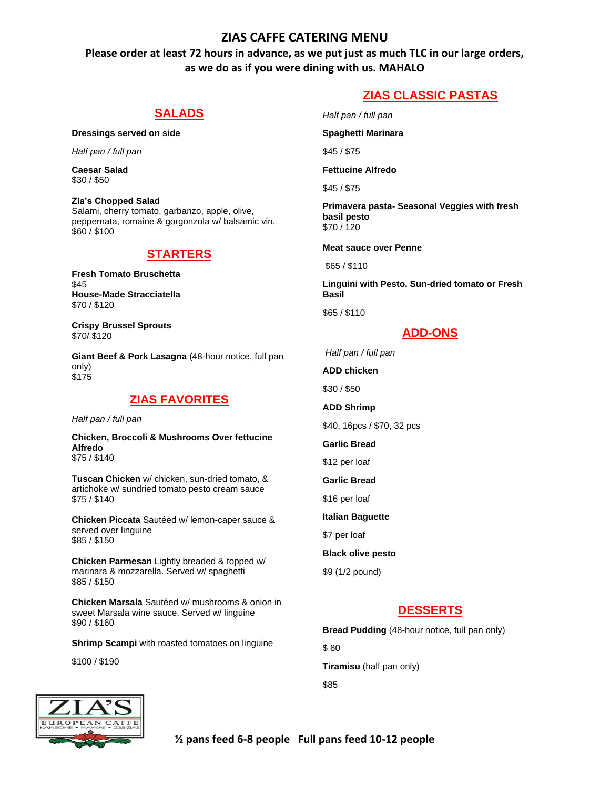## **ZIAS CAFFE CATERING MENU**

**Please order at least 72 hours in advance, as we put just as much TLC in our large orders, as we do as if you were dining with us. MAHALO**

## **SALADS**

**Dressings served on side** 

*Half pan / full pan* 

**Caesar Salad**  \$30 / \$50

**Zia's Chopped Salad**  Salami, cherry tomato, garbanzo, apple, olive, peppernata, romaine & gorgonzola w/ balsamic vin. \$60 / \$100

## **STARTERS**

**Fresh Tomato Bruschetta** \$45 **House-Made Stracciatella**  \$70 / \$120

**Crispy Brussel Sprouts**  \$70/ \$120

**Giant Beef & Pork Lasagna** (48-hour notice, full pan only) \$175

## **ZIAS FAVORITES**

*Half pan / full pan* 

**Chicken, Broccoli & Mushrooms Over fettucine Alfredo**  \$75 / \$140

**Tuscan Chicken** w/ chicken, sun-dried tomato, & artichoke w/ sundried tomato pesto cream sauce \$75 / \$140

**Chicken Piccata** Sautéed w/ lemon-caper sauce & served over linguine \$85 / \$150

**Chicken Parmesan** Lightly breaded & topped w/ marinara & mozzarella. Served w/ spaghetti \$85 / \$150

**Chicken Marsala** Sautéed w/ mushrooms & onion in sweet Marsala wine sauce. Served w/ linguine \$90 / \$160

**Shrimp Scampi** with roasted tomatoes on linguine

\$100 / \$190

# **ZIAS CLASSIC PASTAS**

*Half pan / full pan* 

**Spaghetti Marinara** 

\$45 / \$75

**Fettucine Alfredo** 

\$45 / \$75

**Primavera pasta- Seasonal Veggies with fresh basil pesto**  \$70 / 120

**Meat sauce over Penne**

\$65 / \$110

**Linguini with Pesto. Sun-dried tomato or Fresh Basil** 

\$65 / \$110

#### **ADD-ONS**

*Half pan / full pan* 

**ADD chicken** 

\$30 / \$50

**ADD Shrimp** 

\$40, 16pcs / \$70, 32 pcs

**Garlic Bread** 

\$12 per loaf

**Garlic Bread** 

\$16 per loaf

**Italian Baguette** 

\$7 per loaf

**Black olive pesto** 

\$9 (1/2 pound)

# **DESSERTS**

**Bread Pudding** (48-hour notice, full pan only)

\$ 80

**Tiramisu** (half pan only)

\$85